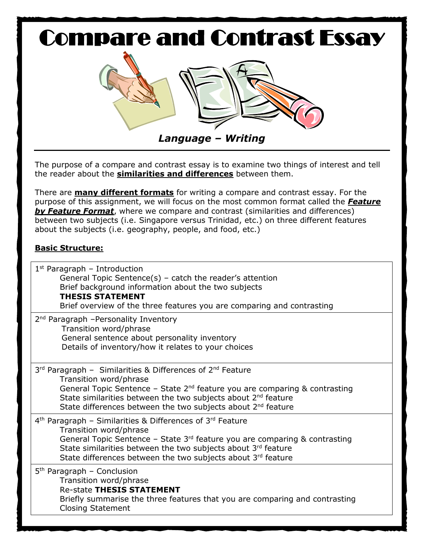

The purpose of a compare and contrast essay is to examine two things of interest and tell the reader about the **similarities and differences** between them.

There are **many different formats** for writing a compare and contrast essay. For the purpose of this assignment, we will focus on the most common format called the *Feature by Feature Format*, where we compare and contrast (similarities and differences) between two subjects (i.e. Singapore versus Trinidad, etc.) on three different features about the subjects (i.e. geography, people, and food, etc.)

## **Basic Structure:**

| $1st$ Paragraph – Introduction<br>General Topic Sentence(s) – catch the reader's attention<br>Brief background information about the two subjects<br><b>THESIS STATEMENT</b><br>Brief overview of the three features you are comparing and contrasting                                                                          |
|---------------------------------------------------------------------------------------------------------------------------------------------------------------------------------------------------------------------------------------------------------------------------------------------------------------------------------|
| 2 <sup>nd</sup> Paragraph -Personality Inventory<br>Transition word/phrase<br>General sentence about personality inventory<br>Details of inventory/how it relates to your choices                                                                                                                                               |
| 3rd Paragraph - Similarities & Differences of 2nd Feature<br>Transition word/phrase<br>General Topic Sentence - State $2^{nd}$ feature you are comparing & contrasting<br>State similarities between the two subjects about 2 <sup>nd</sup> feature<br>State differences between the two subjects about 2 <sup>nd</sup> feature |
| 4 <sup>th</sup> Paragraph - Similarities & Differences of 3 <sup>rd</sup> Feature<br>Transition word/phrase<br>General Topic Sentence - State $3rd$ feature you are comparing & contrasting<br>State similarities between the two subjects about 3rd feature<br>State differences between the two subjects about 3rd feature    |
| 5 <sup>th</sup> Paragraph – Conclusion<br>Transition word/phrase<br><b>Re-state THESIS STATEMENT</b><br>Briefly summarise the three features that you are comparing and contrasting<br><b>Closing Statement</b>                                                                                                                 |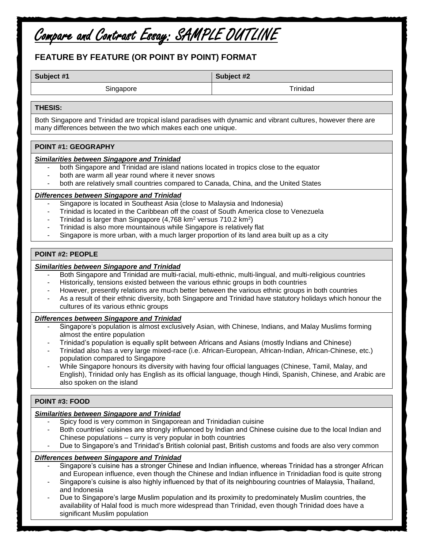# Compare and Contrast Essay: SAMPLE OUTLINE

### **FEATURE BY FEATURE (OR POINT BY POINT) FORMAT**

**Subject #1 Subject #2**

Singapore and the state of the state of the Trinidad Trinidad

#### **THESIS:**

Both Singapore and Trinidad are tropical island paradises with dynamic and vibrant cultures, however there are many differences between the two which makes each one unique.

### **POINT #1: GEOGRAPHY**

#### *Similarities between Singapore and Trinidad*

- both Singapore and Trinidad are island nations located in tropics close to the equator
- both are warm all year round where it never snows
- both are relatively small countries compared to Canada, China, and the United States

#### *Differences between Singapore and Trinidad*

- Singapore is located in Southeast Asia (close to Malaysia and Indonesia)
- Trinidad is located in the Caribbean off the coast of South America close to Venezuela
- Trinidad is larger than Singapore  $(4,768 \text{ km}^2 \text{ versus } 710.2 \text{ km}^2)$
- Trinidad is also more mountainous while Singapore is relatively flat
- Singapore is more urban, with a much larger proportion of its land area built up as a city

#### **POINT #2: PEOPLE**

#### *Similarities between Singapore and Trinidad*

- Both Singapore and Trinidad are multi-racial, multi-ethnic, multi-lingual, and multi-religious countries
- Historically, tensions existed between the various ethnic groups in both countries
- However, presently relations are much better between the various ethnic groups in both countries
- As a result of their ethnic diversity, both Singapore and Trinidad have statutory holidays which honour the cultures of its various ethnic groups

#### *Differences between Singapore and Trinidad*

- Singapore's population is almost exclusively Asian, with Chinese, Indians, and Malay Muslims forming almost the entire population
- Trinidad's population is equally split between Africans and Asians (mostly Indians and Chinese)
- Trinidad also has a very large mixed-race (i.e. African-European, African-Indian, African-Chinese, etc.) population compared to Singapore
- While Singapore honours its diversity with having four official languages (Chinese, Tamil, Malay, and English), Trinidad only has English as its official language, though Hindi, Spanish, Chinese, and Arabic are also spoken on the island

### **POINT #3: FOOD**

#### *Similarities between Singapore and Trinidad*

- Spicy food is very common in Singaporean and Trinidadian cuisine
- Both countries' cuisines are strongly influenced by Indian and Chinese cuisine due to the local Indian and Chinese populations – curry is very popular in both countries
- Due to Singapore's and Trinidad's British colonial past, British customs and foods are also very common

#### *Differences between Singapore and Trinidad*

- Singapore's cuisine has a stronger Chinese and Indian influence, whereas Trinidad has a stronger African and European influence, even though the Chinese and Indian influence in Trinidadian food is quite strong
- Singapore's cuisine is also highly influenced by that of its neighbouring countries of Malaysia, Thailand, and Indonesia
- Due to Singapore's large Muslim population and its proximity to predominately Muslim countries, the availability of Halal food is much more widespread than Trinidad, even though Trinidad does have a significant Muslim population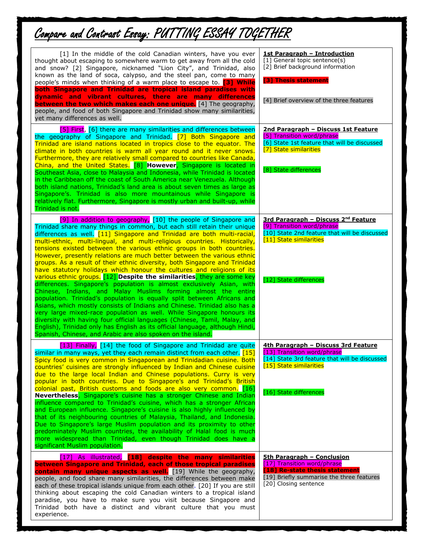# Compare and Contrast Essay: PUTTING ESSAY TOGETHER

| [1] In the middle of the cold Canadian winters, have you ever<br>thought about escaping to somewhere warm to get away from all the cold<br>and snow? [2] Singapore, nicknamed "Lion City", and Trinidad, also<br>known as the land of soca, calypso, and the steel pan, come to many<br>people's minds when thinking of a warm place to escape to. [3] While<br>both Singapore and Trinidad are tropical island paradises with<br>dynamic and vibrant cultures, there are many differences<br><b>between the two which makes each one unique.</b> [4] The geography,<br>people, and food of both Singapore and Trinidad show many similarities,<br>yet many differences as well.                                                                                                                                                                                                                                                                                                                                                                                                                                                                                                                                                                                                                  | <b>1st Paragraph - Introduction</b><br>[1] General topic sentence(s)<br>[2] Brief background information<br>[3] Thesis statement<br>[4] Brief overview of the three features        |
|---------------------------------------------------------------------------------------------------------------------------------------------------------------------------------------------------------------------------------------------------------------------------------------------------------------------------------------------------------------------------------------------------------------------------------------------------------------------------------------------------------------------------------------------------------------------------------------------------------------------------------------------------------------------------------------------------------------------------------------------------------------------------------------------------------------------------------------------------------------------------------------------------------------------------------------------------------------------------------------------------------------------------------------------------------------------------------------------------------------------------------------------------------------------------------------------------------------------------------------------------------------------------------------------------|-------------------------------------------------------------------------------------------------------------------------------------------------------------------------------------|
| [5] First, [6] there are many similarities and differences between<br>the geography of Singapore and Trinidad. [7] Both Singapore and<br>Trinidad are island nations located in tropics close to the equator. The<br>climate in both countries is warm all year round and it never snows.<br>Furthermore, they are relatively small compared to countries like Canada,<br>China, and the United States. [8] However, Singapore is located in<br>Southeast Asia, close to Malaysia and Indonesia, while Trinidad is located<br>in the Caribbean off the coast of South America near Venezuela. Although<br>both island nations, Trinidad's land area is about seven times as large as<br>Singapore's. Trinidad is also more mountainous while Singapore is<br>relatively flat. Furthermore, Singapore is mostly urban and built-up, while<br>Trinidad is not.                                                                                                                                                                                                                                                                                                                                                                                                                                      | 2nd Paragraph - Discuss 1st Feature<br>[5] Transition word/phrase<br>[6] State 1st feature that will be discussed<br>[7] State similarities<br>[8] State differences                |
| [9] In addition to geography, [10] the people of Singapore and<br>Trinidad share many things in common, but each still retain their unique<br>differences as well. [11] Singapore and Trinidad are both multi-racial,<br>multi-ethnic, multi-lingual, and multi-religious countries. Historically,<br>tensions existed between the various ethnic groups in both countries.<br>However, presently relations are much better between the various ethnic<br>groups. As a result of their ethnic diversity, both Singapore and Trinidad<br>have statutory holidays which honour the cultures and religions of its<br>various ethnic groups. [12] Despite the similarities, they are some key<br>differences. Singapore's population is almost exclusively Asian, with<br>Chinese, Indians, and Malay Muslims forming almost the entire<br>population. Trinidad's population is equally split between Africans and<br>Asians, which mostly consists of Indians and Chinese. Trinidad also has a<br>very large mixed-race population as well. While Singapore honours its<br>diversity with having four official languages (Chinese, Tamil, Malay, and<br>English), Trinidad only has English as its official language, although Hindi,<br>Spanish, Chinese, and Arabic are also spoken on the island. | 3rd Paragraph - Discuss 2 <sup>nd</sup> Feature<br>[9] Transition word/phrase<br>[10] State 2nd feature that will be discussed<br>[11] State similarities<br>[12] State differences |
| [13] Finally, [14] the food of Singapore and Trinidad are quite<br>similar in many ways, yet they each remain distinct from each other. $[15]$<br>Spicy food is very common in Singaporean and Trinidadian cuisine. Both<br>countries' cuisines are strongly influenced by Indian and Chinese cuisine<br>due to the large local Indian and Chinese populations. Curry is very<br>popular in both countries. Due to Singapore's and Trinidad's British<br>colonial past, British customs and foods are also very common. [16]<br>Nevertheless, Singapore's cuisine has a stronger Chinese and Indian<br>influence compared to Trinidad's cuisine, which has a stronger African<br>and European influence. Singapore's cuisine is also highly influenced by<br>that of its neighbouring countries of Malaysia, Thailand, and Indonesia.<br>Due to Singapore's large Muslim population and its proximity to other<br>predominately Muslim countries, the availability of Halal food is much<br>more widespread than Trinidad, even though Trinidad does have a<br>significant Muslim population.                                                                                                                                                                                                     | 4th Paragraph - Discuss 3rd Feature<br>[13] Transition word/phrase<br>[14] State 3rd feature that will be discussed<br>[15] State similarities<br>[16] State differences            |
| [17] As illustrated, [18] despite the many similarities<br>between Singapore and Trinidad, each of those tropical paradises<br>contain many unique aspects as well. [19] While the geography,<br>people, and food share many similarities, the differences between make<br>each of these tropical islands unique from each other. [20] If you are still<br>thinking about escaping the cold Canadian winters to a tropical island<br>paradise, you have to make sure you visit because Singapore and<br>Trinidad both have a distinct and vibrant culture that you must<br>experience.                                                                                                                                                                                                                                                                                                                                                                                                                                                                                                                                                                                                                                                                                                            | <b>5th Paragraph - Conclusion</b><br>[17] Transition word/phrase<br>[18] Re-state thesis statement<br>[19] Briefly summarise the three features<br>[20] Closing sentence            |